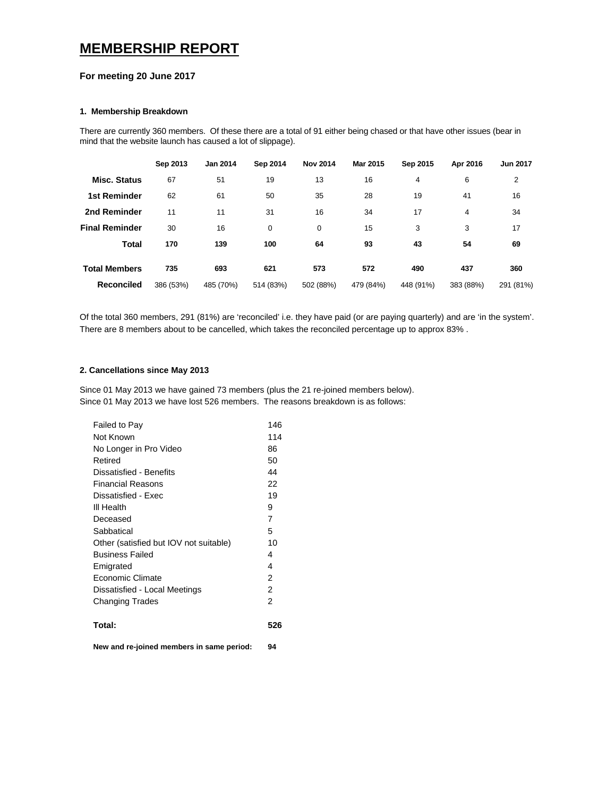# **MEMBERSHIP REPORT**

### **For meeting 20 June 2017**

#### **1. Membership Breakdown**

There are currently 360 members. Of these there are a total of 91 either being chased or that have other issues (bear in mind that the website launch has caused a lot of slippage).

|                       | Sep 2013  | <b>Jan 2014</b> | Sep 2014  | <b>Nov 2014</b> | Mar 2015  | Sep 2015  | Apr 2016  | <b>Jun 2017</b> |
|-----------------------|-----------|-----------------|-----------|-----------------|-----------|-----------|-----------|-----------------|
| <b>Misc. Status</b>   | 67        | 51              | 19        | 13              | 16        | 4         | 6         | 2               |
| <b>1st Reminder</b>   | 62        | 61              | 50        | 35              | 28        | 19        | 41        | 16              |
| 2nd Reminder          | 11        | 11              | 31        | 16              | 34        | 17        | 4         | 34              |
| <b>Final Reminder</b> | 30        | 16              | 0         | 0               | 15        | 3         | 3         | 17              |
| <b>Total</b>          | 170       | 139             | 100       | 64              | 93        | 43        | 54        | 69              |
| <b>Total Members</b>  | 735       | 693             | 621       | 573             | 572       | 490       | 437       | 360             |
| <b>Reconciled</b>     | 386 (53%) | 485 (70%)       | 514 (83%) | 502 (88%)       | 479 (84%) | 448 (91%) | 383 (88%) | 291 (81%)       |

Of the total 360 members, 291 (81%) are 'reconciled' i.e. they have paid (or are paying quarterly) and are 'in the system'. There are 8 members about to be cancelled, which takes the reconciled percentage up to approx 83% .

## **2. Cancellations since May 2013**

Since 01 May 2013 we have gained 73 members (plus the 21 re-joined members below). Since 01 May 2013 we have lost 526 members. The reasons breakdown is as follows:

| Failed to Pay                          | 146 |
|----------------------------------------|-----|
| Not Known                              | 114 |
| No Longer in Pro Video                 | 86  |
| Retired                                | 50  |
| Dissatisfied - Benefits                | 44  |
| <b>Financial Reasons</b>               | 22  |
| Dissatisfied - Exec                    | 19  |
| III Health                             | 9   |
| Deceased                               | 7   |
| Sabbatical                             | 5   |
| Other (satisfied but IOV not suitable) | 10  |
| <b>Business Failed</b>                 | 4   |
| Emigrated                              | 4   |
| Economic Climate                       | 2   |
| Dissatisfied - Local Meetings          | 2   |
| <b>Changing Trades</b>                 | 2   |
| Total:                                 | 526 |

**New and re-joined members in same period: 94**